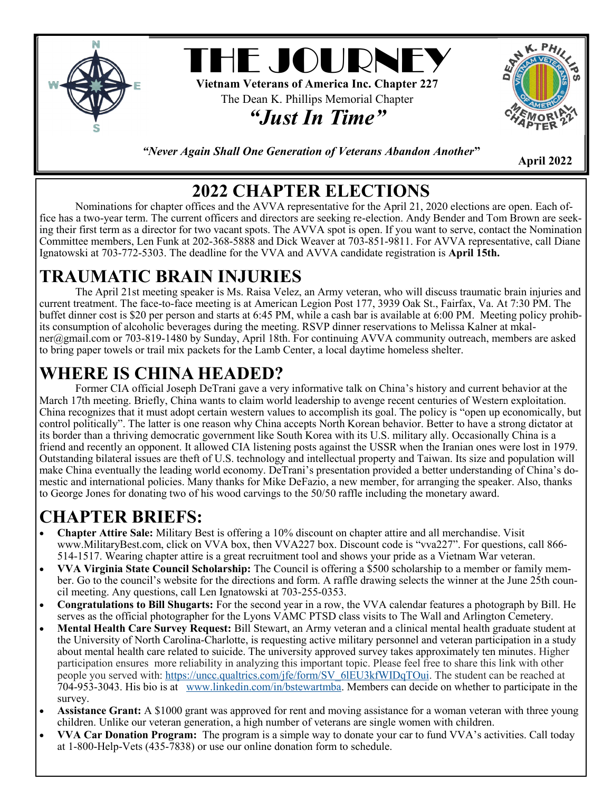

*"Never Again Shall One Generation of Veterans Abandon Another***"** 

 **April 2022**

#### **2022 CHAPTER ELECTIONS**

Nominations for chapter offices and the AVVA representative for the April 21, 2020 elections are open. Each office has a two-year term. The current officers and directors are seeking re-election. Andy Bender and Tom Brown are seeking their first term as a director for two vacant spots. The AVVA spot is open. If you want to serve, contact the Nomination Committee members, Len Funk at 202-368-5888 and Dick Weaver at 703-851-9811. For AVVA representative, call Diane Ignatowski at 703-772-5303. The deadline for the VVA and AVVA candidate registration is **April 15th.**

## **TRAUMATIC BRAIN INJURIES**

The April 21st meeting speaker is Ms. Raisa Velez, an Army veteran, who will discuss traumatic brain injuries and current treatment. The face-to-face meeting is at American Legion Post 177, 3939 Oak St., Fairfax, Va. At 7:30 PM. The buffet dinner cost is \$20 per person and starts at 6:45 PM, while a cash bar is available at 6:00 PM. Meeting policy prohibits consumption of alcoholic beverages during the meeting. RSVP dinner reservations to Melissa Kalner at mkalner@gmail.com or 703-819-1480 by Sunday, April 18th. For continuing AVVA community outreach, members are asked to bring paper towels or trail mix packets for the Lamb Center, a local daytime homeless shelter.

## **WHERE IS CHINA HEADED?**

Former CIA official Joseph DeTrani gave a very informative talk on China's history and current behavior at the March 17th meeting. Briefly, China wants to claim world leadership to avenge recent centuries of Western exploitation. China recognizes that it must adopt certain western values to accomplish its goal. The policy is "open up economically, but control politically". The latter is one reason why China accepts North Korean behavior. Better to have a strong dictator at its border than a thriving democratic government like South Korea with its U.S. military ally. Occasionally China is a friend and recently an opponent. It allowed CIA listening posts against the USSR when the Iranian ones were lost in 1979. Outstanding bilateral issues are theft of U.S. technology and intellectual property and Taiwan. Its size and population will make China eventually the leading world economy. DeTrani's presentation provided a better understanding of China's domestic and international policies. Many thanks for Mike DeFazio, a new member, for arranging the speaker. Also, thanks to George Jones for donating two of his wood carvings to the 50/50 raffle including the monetary award.

### **CHAPTER BRIEFS:**

- **Chapter Attire Sale:** Military Best is offering a 10% discount on chapter attire and all merchandise. Visit www.MilitaryBest.com, click on VVA box, then VVA227 box. Discount code is "vva227". For questions, call 866- 514-1517. Wearing chapter attire is a great recruitment tool and shows your pride as a Vietnam War veteran.
- **VVA Virginia State Council Scholarship:** The Council is offering a \$500 scholarship to a member or family member. Go to the council's website for the directions and form. A raffle drawing selects the winner at the June 25th council meeting. Any questions, call Len Ignatowski at 703-255-0353.
- **Congratulations to Bill Shugarts:** For the second year in a row, the VVA calendar features a photograph by Bill. He serves as the official photographer for the Lyons VAMC PTSD class visits to The Wall and Arlington Cemetery.
- **Mental Health Care Survey Request:** Bill Stewart, an Army veteran and a clinical mental health graduate student at the University of North Carolina-Charlotte, is requesting active military personnel and veteran participation in a study about mental health care related to suicide. The university approved survey takes approximately ten minutes. Higher participation ensures more reliability in analyzing this important topic. Please feel free to share this link with other people you served with: [https://uncc.qualtrics.com/jfe/form/SV\\_6lEU3kfWIDqTOui.](https://uncc.qualtrics.com/jfe/form/SV_6lEU3kfWIDqTOui) The student can be reached at 704-953-3043. His bio is at [www.linkedin.com/in/bstewartmba.](http://www.linkedin.com/in/bstewartmba) Members can decide on whether to participate in the survey.
- **Assistance Grant:** A \$1000 grant was approved for rent and moving assistance for a woman veteran with three young children. Unlike our veteran generation, a high number of veterans are single women with children.
- **VVA Car Donation Program:** The program is a simple way to donate your car to fund VVA's activities. Call today at 1-800-Help-Vets (435-7838) or use our online donation form to schedule.